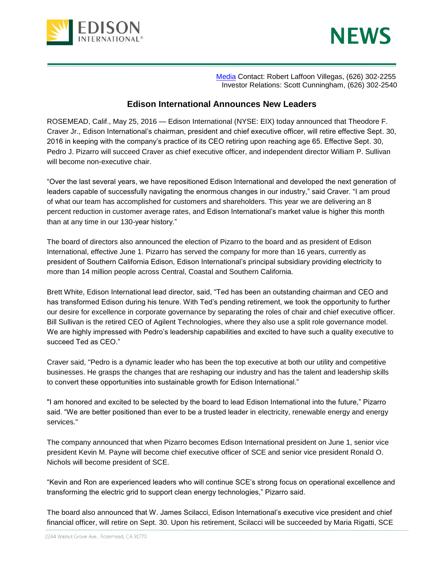



[Media](http://newsroom.edison.com/) Contact: Robert Laffoon Villegas, (626) 302-2255 Investor Relations: Scott Cunningham, (626) 302-2540

## **Edison International Announces New Leaders**

ROSEMEAD, Calif., May 25, 2016 — Edison International (NYSE: EIX) today announced that Theodore F. Craver Jr., Edison International's chairman, president and chief executive officer, will retire effective Sept. 30, 2016 in keeping with the company's practice of its CEO retiring upon reaching age 65. Effective Sept. 30, Pedro J. Pizarro will succeed Craver as chief executive officer, and independent director William P. Sullivan will become non-executive chair

"Over the last several years, we have repositioned Edison International and developed the next generation of leaders capable of successfully navigating the enormous changes in our industry," said Craver. "I am proud of what our team has accomplished for customers and shareholders. This year we are delivering an 8 percent reduction in customer average rates, and Edison International's market value is higher this month than at any time in our 130-year history."

The board of directors also announced the election of Pizarro to the board and as president of Edison International, effective June 1. Pizarro has served the company for more than 16 years, currently as president of Southern California Edison, Edison International's principal subsidiary providing electricity to more than 14 million people across Central, Coastal and Southern California.

Brett White, Edison International lead director, said, "Ted has been an outstanding chairman and CEO and has transformed Edison during his tenure. With Ted's pending retirement, we took the opportunity to further our desire for excellence in corporate governance by separating the roles of chair and chief executive officer. Bill Sullivan is the retired CEO of Agilent Technologies, where they also use a split role governance model. We are highly impressed with Pedro's leadership capabilities and excited to have such a quality executive to succeed Ted as CEO."

Craver said, "Pedro is a dynamic leader who has been the top executive at both our utility and competitive businesses. He grasps the changes that are reshaping our industry and has the talent and leadership skills to convert these opportunities into sustainable growth for Edison International."

"I am honored and excited to be selected by the board to lead Edison International into the future," Pizarro said. "We are better positioned than ever to be a trusted leader in electricity, renewable energy and energy services."

The company announced that when Pizarro becomes Edison International president on June 1, senior vice president Kevin M. Payne will become chief executive officer of SCE and senior vice president Ronald O. Nichols will become president of SCE.

"Kevin and Ron are experienced leaders who will continue SCE's strong focus on operational excellence and transforming the electric grid to support clean energy technologies," Pizarro said.

The board also announced that W. James Scilacci, Edison International's executive vice president and chief financial officer, will retire on Sept. 30. Upon his retirement, Scilacci will be succeeded by Maria Rigatti, SCE